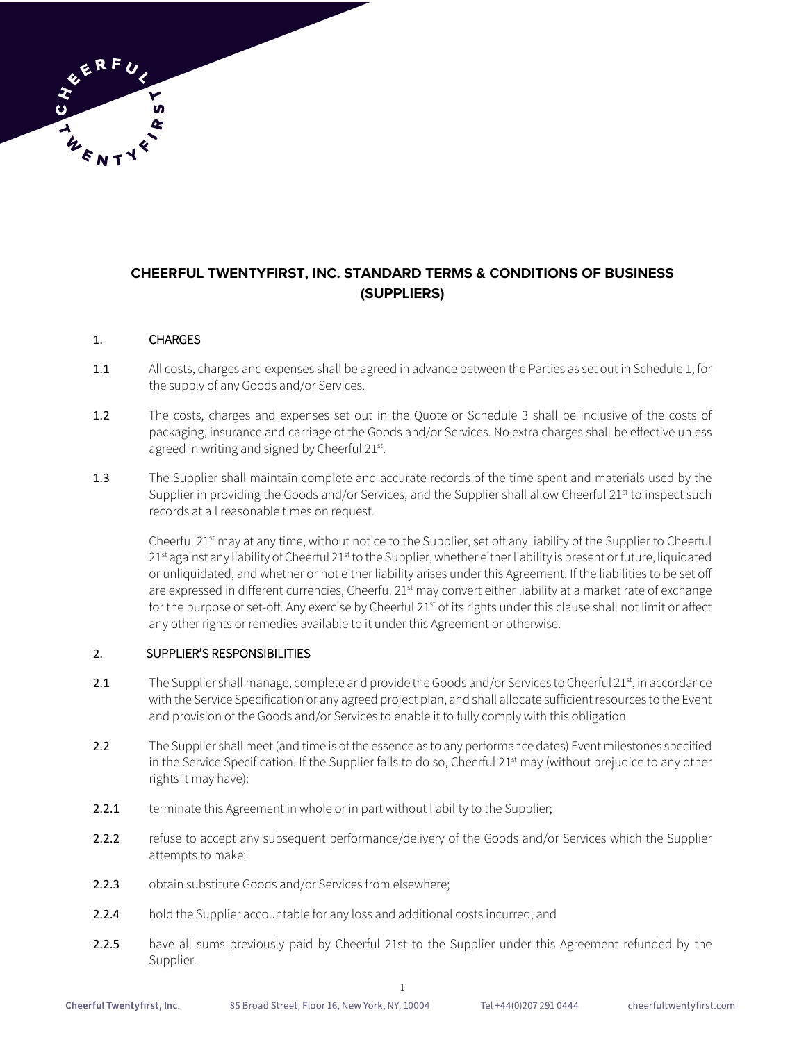# **CHEERFUL TWENTYFIRST, INC. STANDARD TERMS & CONDITIONS OF BUSINESS (SUPPLIERS)**

# 1. CHARGES

- 1.1 All costs, charges and expenses shall be agreed in advance between the Parties as set out in Schedule 1, for the supply of any Goods and/or Services.
- 1.2 The costs, charges and expenses set out in the Quote or Schedule 3 shall be inclusive of the costs of packaging, insurance and carriage of the Goods and/or Services. No extra charges shall be effective unless agreed in writing and signed by Cheerful 21st.
- 1.3 The Supplier shall maintain complete and accurate records of the time spent and materials used by the Supplier in providing the Goods and/or Services, and the Supplier shall allow Cheerful 21<sup>st</sup> to inspect such records at all reasonable times on request.

Cheerful 21<sup>st</sup> may at any time, without notice to the Supplier, set off any liability of the Supplier to Cheerful  $21<sup>st</sup>$  against any liability of Cheerful  $21<sup>st</sup>$  to the Supplier, whether either liability is present or future, liquidated or unliquidated, and whether or not either liability arises under this Agreement. If the liabilities to be set off are expressed in different currencies, Cheerful 21<sup>st</sup> may convert either liability at a market rate of exchange for the purpose of set-off. Any exercise by Cheerful 21<sup>st</sup> of its rights under this clause shall not limit or affect any other rights or remedies available to it under this Agreement or otherwise.

### 2. SUPPLIER'S RESPONSIBILITIES

- 2.1 The Supplier shall manage, complete and provide the Goods and/or Services to Cheerful 21<sup>st</sup>, in accordance with the Service Specification or any agreed project plan, and shall allocate sufficient resources to the Event and provision of the Goods and/or Services to enable it to fully comply with this obligation.
- 2.2 The Supplier shall meet (and time is of the essence as to any performance dates) Event milestones specified in the Service Specification. If the Supplier fails to do so, Cheerful 21<sup>st</sup> may (without prejudice to any other rights it may have):
- 2.2.1 terminate this Agreement in whole or in part without liability to the Supplier;
- 2.2.2 refuse to accept any subsequent performance/delivery of the Goods and/or Services which the Supplier attempts to make;
- 2.2.3 obtain substitute Goods and/or Services from elsewhere;
- 2.2.4 hold the Supplier accountable for any loss and additional costs incurred; and
- 2.2.5 have all sums previously paid by Cheerful 21st to the Supplier under this Agreement refunded by the Supplier.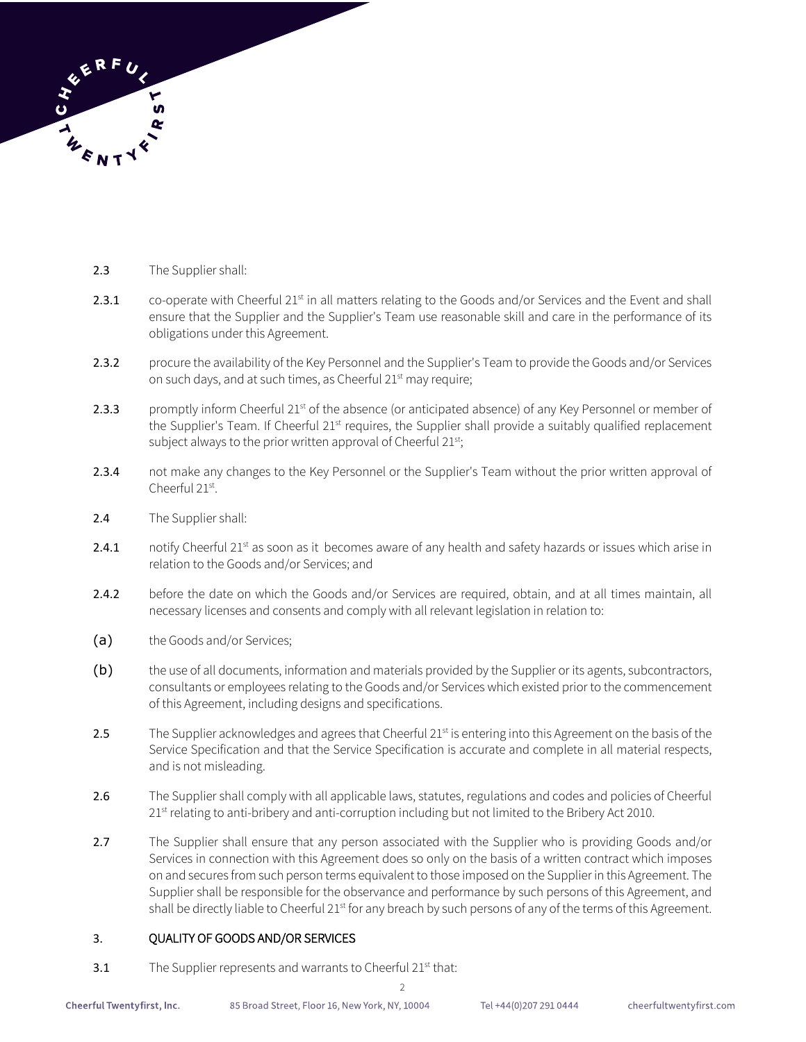

- 2.3 The Supplier shall:
- 2.3.1 co-operate with Cheerful  $21^{st}$  in all matters relating to the Goods and/or Services and the Event and shall ensure that the Supplier and the Supplier's Team use reasonable skill and care in the performance of its obligations under this Agreement.
- 2.3.2 procure the availability of the Key Personnel and the Supplier's Team to provide the Goods and/or Services on such days, and at such times, as Cheerful 21<sup>st</sup> may require;
- 2.3.3 promptly inform Cheerful 21<sup>st</sup> of the absence (or anticipated absence) of any Key Personnel or member of the Supplier's Team. If Cheerful 21<sup>st</sup> requires, the Supplier shall provide a suitably qualified replacement subject always to the prior written approval of Cheerful 21<sup>st</sup>;
- 2.3.4 not make any changes to the Key Personnel or the Supplier's Team without the prior written approval of Cheerful 21st.
- 2.4 The Supplier shall:
- 2.4.1 notify Cheerful 21 $st$  as soon as it becomes aware of any health and safety hazards or issues which arise in relation to the Goods and/or Services; and
- 2.4.2 before the date on which the Goods and/or Services are required, obtain, and at all times maintain, all necessary licenses and consents and comply with all relevant legislation in relation to:
- (a) the Goods and/or Services;
- (b) the use of all documents, information and materials provided by the Supplier or its agents, subcontractors, consultants or employees relating to the Goods and/or Services which existed prior to the commencement of this Agreement, including designs and specifications.
- 2.5 The Supplier acknowledges and agrees that Cheerful 21<sup>st</sup> is entering into this Agreement on the basis of the Service Specification and that the Service Specification is accurate and complete in all material respects, and is not misleading.
- 2.6 The Supplier shall comply with all applicable laws, statutes, regulations and codes and policies of Cheerful 21<sup>st</sup> relating to anti-bribery and anti-corruption including but not limited to the Bribery Act 2010.
- 2.7 The Supplier shall ensure that any person associated with the Supplier who is providing Goods and/or Services in connection with this Agreement does so only on the basis of a written contract which imposes on and secures from such person terms equivalent to those imposed on the Supplier in this Agreement. The Supplier shall be responsible for the observance and performance by such persons of this Agreement, and shall be directly liable to Cheerful 21<sup>st</sup> for any breach by such persons of any of the terms of this Agreement.

2

### 3. QUALITY OF GOODS AND/OR SERVICES

3.1 The Supplier represents and warrants to Cheerful 21<sup>st</sup> that: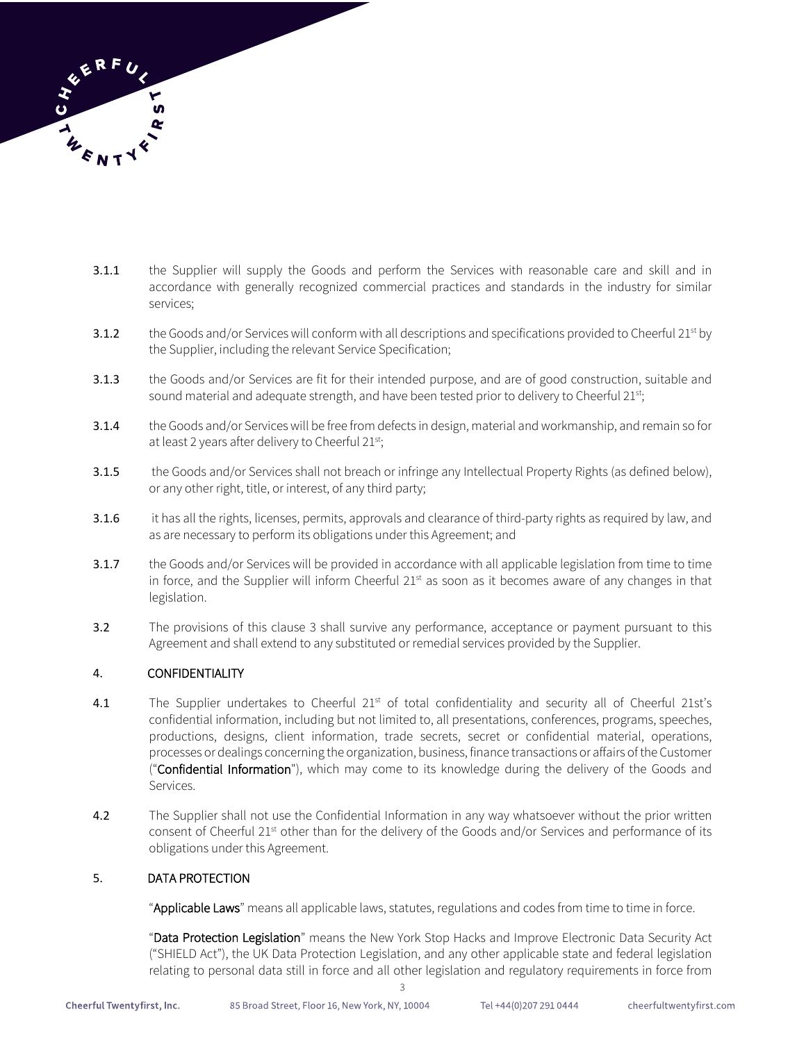

- 3.1.1 the Supplier will supply the Goods and perform the Services with reasonable care and skill and in accordance with generally recognized commercial practices and standards in the industry for similar services;
- 3.1.2 the Goods and/or Services will conform with all descriptions and specifications provided to Cheerful  $21^{st}$  by the Supplier, including the relevant Service Specification;
- 3.1.3 the Goods and/or Services are fit for their intended purpose, and are of good construction, suitable and sound material and adequate strength, and have been tested prior to delivery to Cheerful 21st;
- 3.1.4 the Goods and/or Services will be free from defects in design, material and workmanship, and remain so for at least 2 years after delivery to Cheerful 21st;
- 3.1.5 the Goods and/or Services shall not breach or infringe any Intellectual Property Rights (as defined below), or any other right, title, or interest, of any third party;
- 3.1.6 it has all the rights, licenses, permits, approvals and clearance of third-party rights as required by law, and as are necessary to perform its obligations under this Agreement; and
- 3.1.7 the Goods and/or Services will be provided in accordance with all applicable legislation from time to time in force, and the Supplier will inform Cheerful  $21<sup>st</sup>$  as soon as it becomes aware of any changes in that legislation.
- 3.2 The provisions of this clause 3 shall survive any performance, acceptance or payment pursuant to this Agreement and shall extend to any substituted or remedial services provided by the Supplier.

# 4. CONFIDENTIALITY

- 4.1 The Supplier undertakes to Cheerful 21<sup>st</sup> of total confidentiality and security all of Cheerful 21st's confidential information, including but not limited to, all presentations, conferences, programs, speeches, productions, designs, client information, trade secrets, secret or confidential material, operations, processes or dealings concerning the organization, business, finance transactions or affairs of the Customer ("Confidential Information"), which may come to its knowledge during the delivery of the Goods and Services.
- 4.2 The Supplier shall not use the Confidential Information in any way whatsoever without the prior written consent of Cheerful 21<sup>st</sup> other than for the delivery of the Goods and/or Services and performance of its obligations under this Agreement.

3

# 5. DATA PROTECTION

"Applicable Laws" means all applicable laws, statutes, regulations and codes from time to time in force.

"Data Protection Legislation" means the New York Stop Hacks and Improve Electronic Data Security Act ("SHIELD Act"), the UK Data Protection Legislation, and any other applicable state and federal legislation relating to personal data still in force and all other legislation and regulatory requirements in force from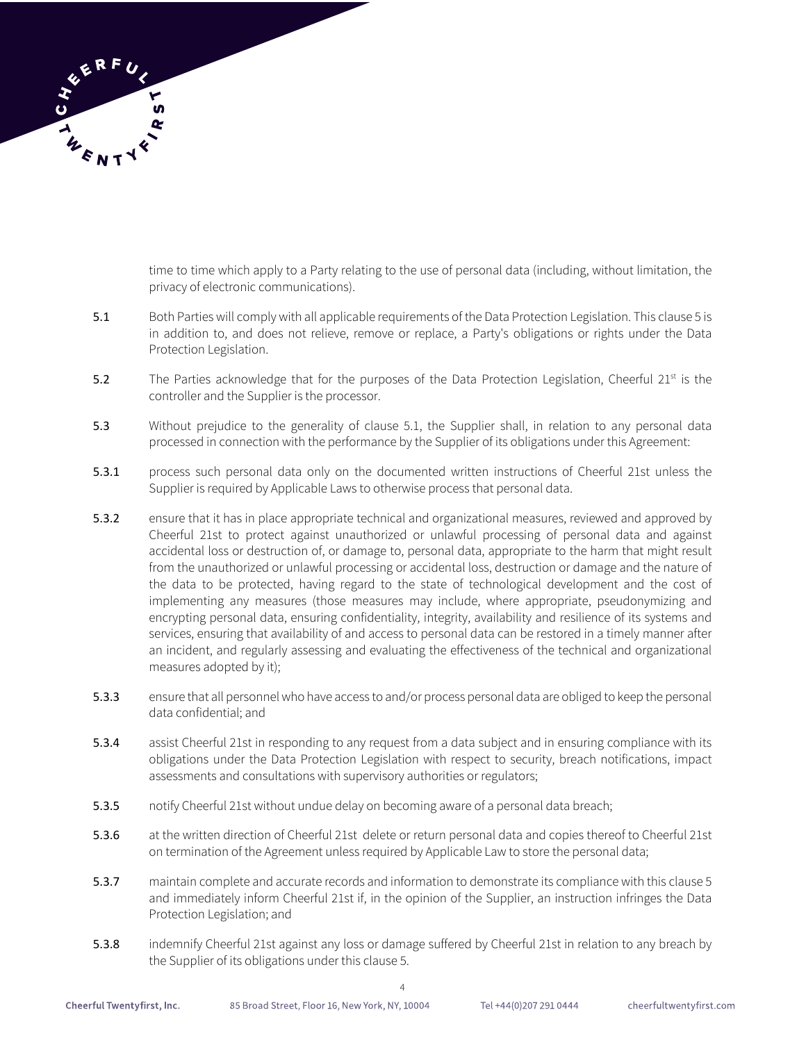

time to time which apply to a Party relating to the use of personal data (including, without limitation, the privacy of electronic communications).

- 5.1 Both Parties will comply with all applicable requirements of the Data Protection Legislation. This clause 5 is in addition to, and does not relieve, remove or replace, a Party's obligations or rights under the Data Protection Legislation.
- 5.2 The Parties acknowledge that for the purposes of the Data Protection Legislation, Cheerful  $21^{st}$  is the controller and the Supplier is the processor.
- 5.3 Without prejudice to the generality of clause 5.1, the Supplier shall, in relation to any personal data processed in connection with the performance by the Supplier of its obligations under this Agreement:
- 5.3.1 process such personal data only on the documented written instructions of Cheerful 21st unless the Supplier is required by Applicable Laws to otherwise process that personal data.
- 5.3.2 ensure that it has in place appropriate technical and organizational measures, reviewed and approved by Cheerful 21st to protect against unauthorized or unlawful processing of personal data and against accidental loss or destruction of, or damage to, personal data, appropriate to the harm that might result from the unauthorized or unlawful processing or accidental loss, destruction or damage and the nature of the data to be protected, having regard to the state of technological development and the cost of implementing any measures (those measures may include, where appropriate, pseudonymizing and encrypting personal data, ensuring confidentiality, integrity, availability and resilience of its systems and services, ensuring that availability of and access to personal data can be restored in a timely manner after an incident, and regularly assessing and evaluating the effectiveness of the technical and organizational measures adopted by it);
- 5.3.3 ensure that all personnel who have access to and/or process personal data are obliged to keep the personal data confidential; and
- 5.3.4 assist Cheerful 21st in responding to any request from a data subject and in ensuring compliance with its obligations under the Data Protection Legislation with respect to security, breach notifications, impact assessments and consultations with supervisory authorities or regulators;
- 5.3.5 notify Cheerful 21st without undue delay on becoming aware of a personal data breach;
- 5.3.6 at the written direction of Cheerful 21st delete or return personal data and copies thereof to Cheerful 21st on termination of the Agreement unless required by Applicable Law to store the personal data;
- 5.3.7 maintain complete and accurate records and information to demonstrate its compliance with this clause 5 and immediately inform Cheerful 21st if, in the opinion of the Supplier, an instruction infringes the Data Protection Legislation; and
- 5.3.8 indemnify Cheerful 21st against any loss or damage suffered by Cheerful 21st in relation to any breach by the Supplier of its obligations under this clause 5.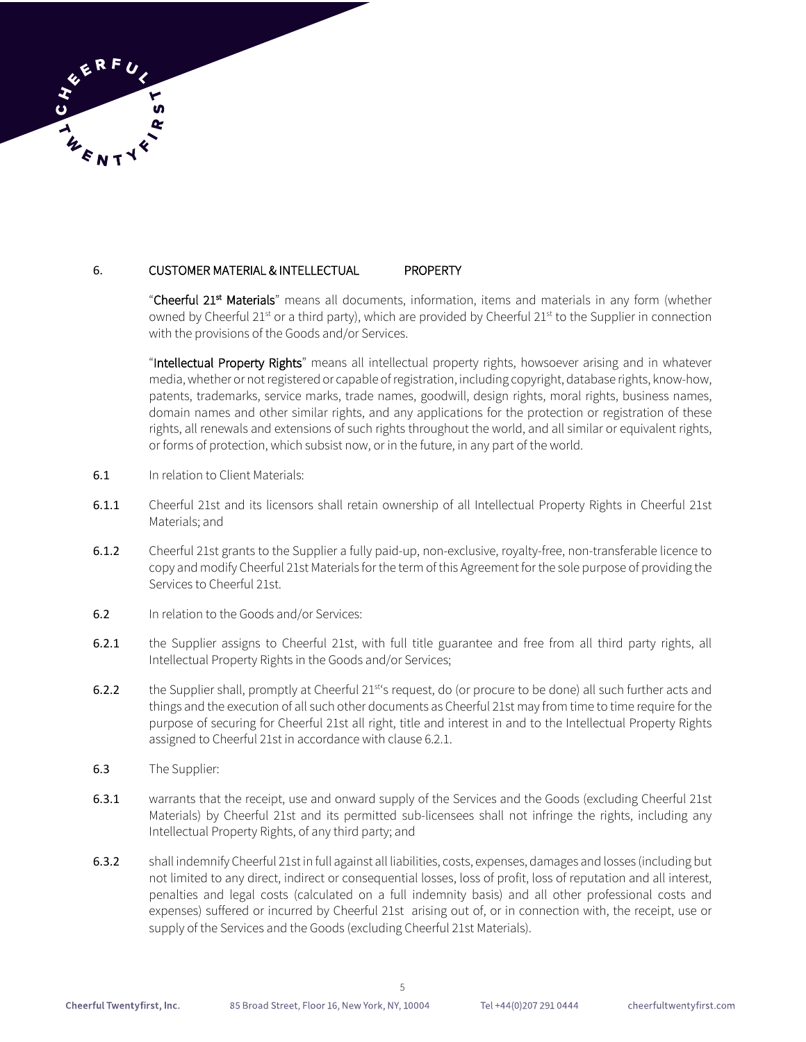

### 6. CUSTOMER MATERIAL & INTELLECTUAL PROPERTY

"Cheerful 21<sup>st</sup> Materials" means all documents, information, items and materials in any form (whether owned by Cheerful  $21^{st}$  or a third party), which are provided by Cheerful  $21^{st}$  to the Supplier in connection with the provisions of the Goods and/or Services.

"Intellectual Property Rights" means all intellectual property rights, howsoever arising and in whatever media, whether or not registered or capable of registration, including copyright, database rights, know-how, patents, trademarks, service marks, trade names, goodwill, design rights, moral rights, business names, domain names and other similar rights, and any applications for the protection or registration of these rights, all renewals and extensions of such rights throughout the world, and all similar or equivalent rights, or forms of protection, which subsist now, or in the future, in any part of the world.

- 6.1 In relation to Client Materials:
- 6.1.1 Cheerful 21st and its licensors shall retain ownership of all Intellectual Property Rights in Cheerful 21st Materials; and
- 6.1.2 Cheerful 21st grants to the Supplier a fully paid-up, non-exclusive, royalty-free, non-transferable licence to copy and modify Cheerful 21st Materials for the term of this Agreement for the sole purpose of providing the Services to Cheerful 21st.
- 6.2 In relation to the Goods and/or Services:
- 6.2.1 the Supplier assigns to Cheerful 21st, with full title guarantee and free from all third party rights, all Intellectual Property Rights in the Goods and/or Services;
- 6.2.2 the Supplier shall, promptly at Cheerful 21<sup>st'</sup>s request, do (or procure to be done) all such further acts and things and the execution of all such other documents as Cheerful 21st may from time to time require for the purpose of securing for Cheerful 21st all right, title and interest in and to the Intellectual Property Rights assigned to Cheerful 21st in accordance with clause 6.2.1.
- 6.3 The Supplier:
- 6.3.1 warrants that the receipt, use and onward supply of the Services and the Goods (excluding Cheerful 21st Materials) by Cheerful 21st and its permitted sub-licensees shall not infringe the rights, including any Intellectual Property Rights, of any third party; and
- 6.3.2 shall indemnify Cheerful 21st in full against all liabilities, costs, expenses, damages and losses (including but not limited to any direct, indirect or consequential losses, loss of profit, loss of reputation and all interest, penalties and legal costs (calculated on a full indemnity basis) and all other professional costs and expenses) suffered or incurred by Cheerful 21st arising out of, or in connection with, the receipt, use or supply of the Services and the Goods (excluding Cheerful 21st Materials).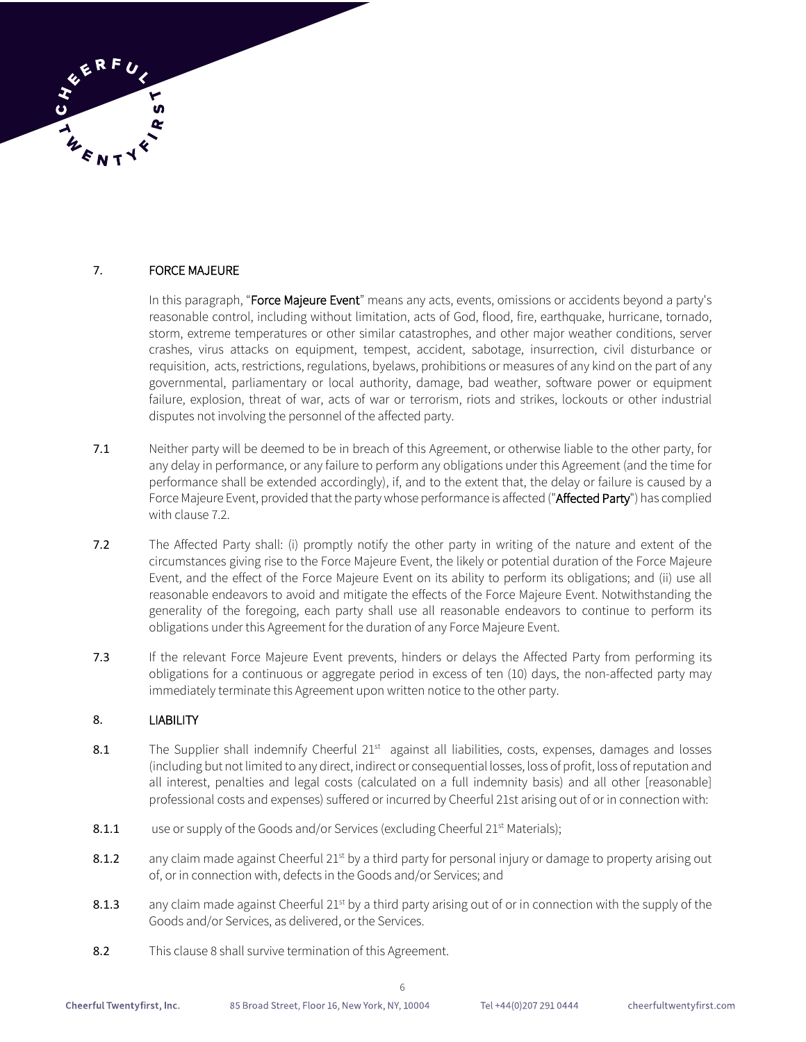

## 7. FORCE MAJEURE

In this paragraph, "Force Majeure Event" means any acts, events, omissions or accidents beyond a party's reasonable control, including without limitation, acts of God, flood, fire, earthquake, hurricane, tornado, storm, extreme temperatures or other similar catastrophes, and other major weather conditions, server crashes, virus attacks on equipment, tempest, accident, sabotage, insurrection, civil disturbance or requisition, acts, restrictions, regulations, byelaws, prohibitions or measures of any kind on the part of any governmental, parliamentary or local authority, damage, bad weather, software power or equipment failure, explosion, threat of war, acts of war or terrorism, riots and strikes, lockouts or other industrial disputes not involving the personnel of the affected party.

- 7.1 Neither party will be deemed to be in breach of this Agreement, or otherwise liable to the other party, for any delay in performance, or any failure to perform any obligations under this Agreement (and the time for performance shall be extended accordingly), if, and to the extent that, the delay or failure is caused by a Force Majeure Event, provided that the party whose performance is affected ("Affected Party") has complied with clause 7.2.
- 7.2 The Affected Party shall: (i) promptly notify the other party in writing of the nature and extent of the circumstances giving rise to the Force Majeure Event, the likely or potential duration of the Force Majeure Event, and the effect of the Force Majeure Event on its ability to perform its obligations; and (ii) use all reasonable endeavors to avoid and mitigate the effects of the Force Majeure Event. Notwithstanding the generality of the foregoing, each party shall use all reasonable endeavors to continue to perform its obligations under this Agreement for the duration of any Force Majeure Event.
- 7.3 If the relevant Force Majeure Event prevents, hinders or delays the Affected Party from performing its obligations for a continuous or aggregate period in excess of ten (10) days, the non-affected party may immediately terminate this Agreement upon written notice to the other party.

### 8. LIABILITY

- 8.1 The Supplier shall indemnify Cheerful 21<sup>st</sup> against all liabilities, costs, expenses, damages and losses (including but not limited to any direct, indirect or consequential losses, loss of profit, loss of reputation and all interest, penalties and legal costs (calculated on a full indemnity basis) and all other [reasonable] professional costs and expenses) suffered or incurred by Cheerful 21st arising out of or in connection with:
- 8.1.1 use or supply of the Goods and/or Services (excluding Cheerful 21<sup>st</sup> Materials);
- 8.1.2 any claim made against Cheerful 21<sup>st</sup> by a third party for personal injury or damage to property arising out of, or in connection with, defects in the Goods and/or Services; and
- 8.1.3 any claim made against Cheerful 21<sup>st</sup> by a third party arising out of or in connection with the supply of the Goods and/or Services, as delivered, or the Services.

6

8.2 This clause 8 shall survive termination of this Agreement.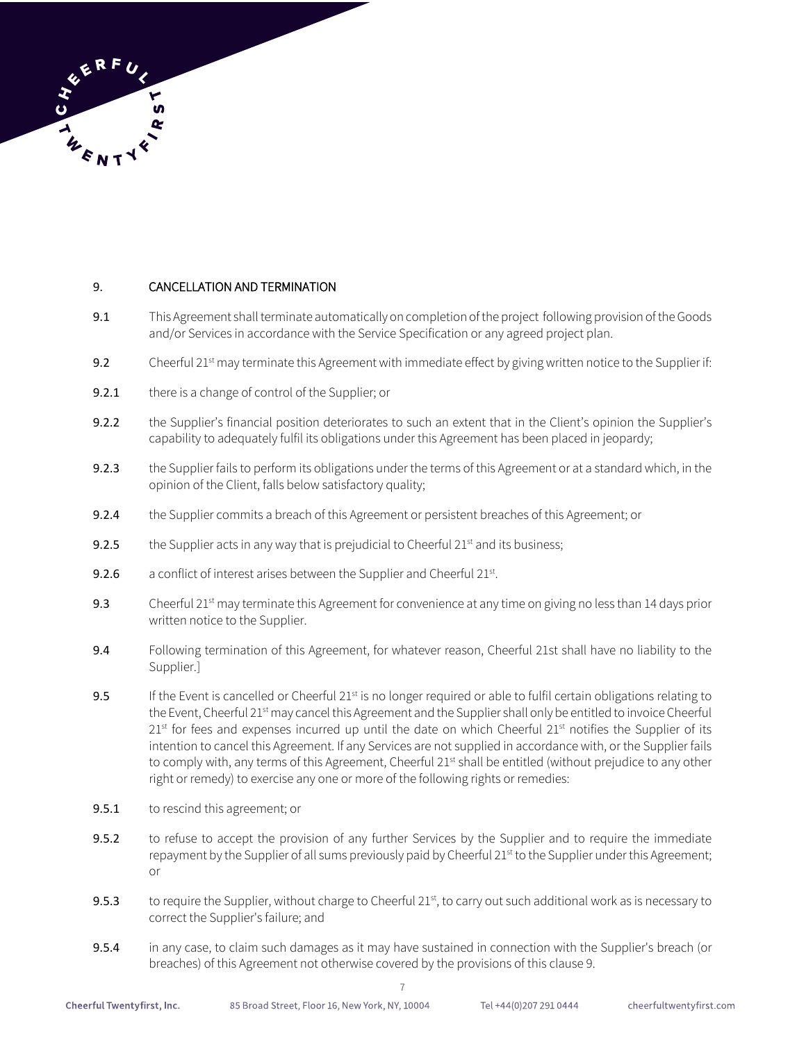

# 9. CANCELLATION AND TERMINATION

- 9.1 This Agreement shall terminate automatically on completion of the project following provision of the Goods and/or Services in accordance with the Service Specification or any agreed project plan.
- 9.2 Cheerful  $21^{st}$  may terminate this Agreement with immediate effect by giving written notice to the Supplier if:
- 9.2.1 there is a change of control of the Supplier; or
- 9.2.2 the Supplier's financial position deteriorates to such an extent that in the Client's opinion the Supplier's capability to adequately fulfil its obligations under this Agreement has been placed in jeopardy;
- 9.2.3 the Supplier fails to perform its obligations under the terms of this Agreement or at a standard which, in the opinion of the Client, falls below satisfactory quality;
- 9.2.4 the Supplier commits a breach of this Agreement or persistent breaches of this Agreement; or
- **9.2.5** the Supplier acts in any way that is prejudicial to Cheerful  $21<sup>st</sup>$  and its business;
- **9.2.6** a conflict of interest arises between the Supplier and Cheerful  $21^{st}$ .
- 9.3 Cheerful  $21^{st}$  may terminate this Agreement for convenience at any time on giving no less than 14 days prior written notice to the Supplier.
- 9.4 Following termination of this Agreement, for whatever reason, Cheerful 21st shall have no liability to the Supplier.]
- 9.5 If the Event is cancelled or Cheerful  $21<sup>st</sup>$  is no longer required or able to fulfil certain obligations relating to the Event, Cheerful 21<sup>st</sup> may cancel this Agreement and the Supplier shall only be entitled to invoice Cheerful  $21<sup>st</sup>$  for fees and expenses incurred up until the date on which Cheerful  $21<sup>st</sup>$  notifies the Supplier of its intention to cancel this Agreement. If any Services are not supplied in accordance with, or the Supplier fails to comply with, any terms of this Agreement, Cheerful 21<sup>st</sup> shall be entitled (without prejudice to any other right or remedy) to exercise any one or more of the following rights or remedies:
- 9.5.1 to rescind this agreement; or
- 9.5.2 to refuse to accept the provision of any further Services by the Supplier and to require the immediate repayment by the Supplier of all sums previously paid by Cheerful 21<sup>st</sup> to the Supplier under this Agreement; or
- 9.5.3 to require the Supplier, without charge to Cheerful  $21^{st}$ , to carry out such additional work as is necessary to correct the Supplier's failure; and
- 9.5.4 in any case, to claim such damages as it may have sustained in connection with the Supplier's breach (or breaches) of this Agreement not otherwise covered by the provisions of this clause 9.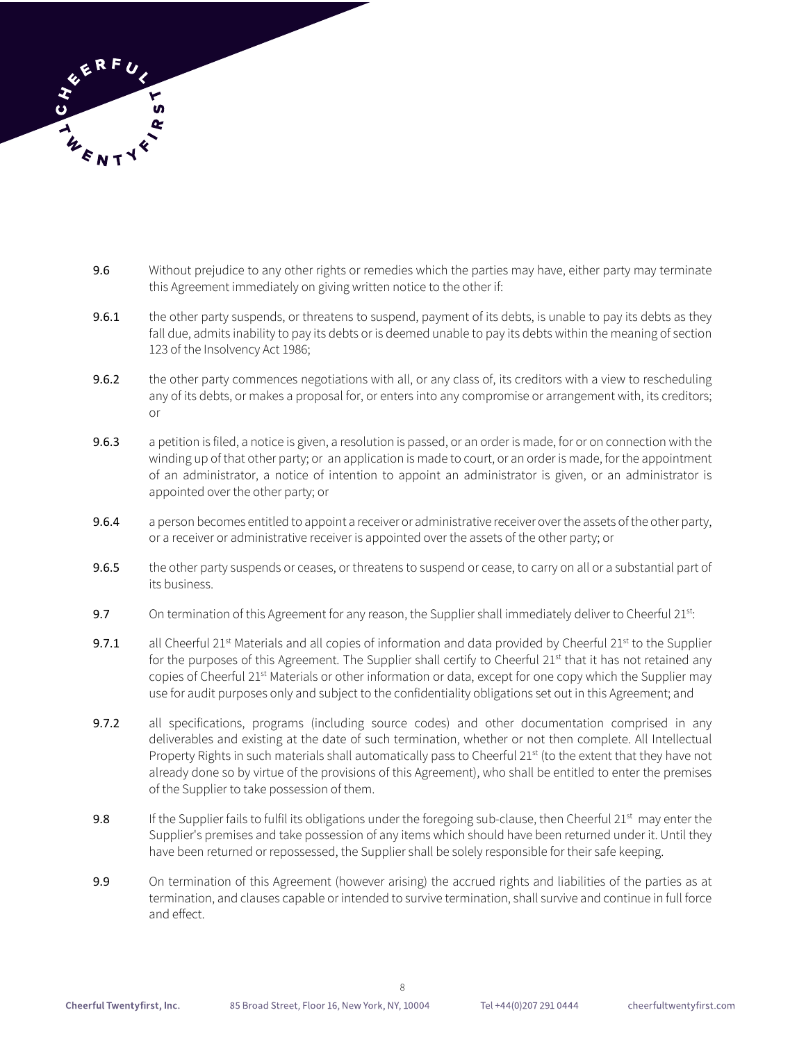

- 9.6 Without prejudice to any other rights or remedies which the parties may have, either party may terminate this Agreement immediately on giving written notice to the other if:
- 9.6.1 the other party suspends, or threatens to suspend, payment of its debts, is unable to pay its debts as they fall due, admits inability to pay its debts or is deemed unable to pay its debts within the meaning of section 123 of the Insolvency Act 1986;
- 9.6.2 the other party commences negotiations with all, or any class of, its creditors with a view to rescheduling any of its debts, or makes a proposal for, or enters into any compromise or arrangement with, its creditors; or
- 9.6.3 a petition is filed, a notice is given, a resolution is passed, or an order is made, for or on connection with the winding up of that other party; or an application is made to court, or an order is made, for the appointment of an administrator, a notice of intention to appoint an administrator is given, or an administrator is appointed over the other party; or
- 9.6.4 a person becomes entitled to appoint a receiver or administrative receiver over the assets of the other party, or a receiver or administrative receiver is appointed over the assets of the other party; or
- 9.6.5 the other party suspends or ceases, or threatens to suspend or cease, to carry on all or a substantial part of its business.
- 9.7 On termination of this Agreement for any reason, the Supplier shall immediately deliver to Cheerful 21st:
- 9.7.1 all Cheerful 21<sup>st</sup> Materials and all copies of information and data provided by Cheerful 21<sup>st</sup> to the Supplier for the purposes of this Agreement. The Supplier shall certify to Cheerful  $21<sup>st</sup>$  that it has not retained any copies of Cheerful 21<sup>st</sup> Materials or other information or data, except for one copy which the Supplier may use for audit purposes only and subject to the confidentiality obligations set out in this Agreement; and
- 9.7.2 all specifications, programs (including source codes) and other documentation comprised in any deliverables and existing at the date of such termination, whether or not then complete. All Intellectual Property Rights in such materials shall automatically pass to Cheerful 21<sup>st</sup> (to the extent that they have not already done so by virtue of the provisions of this Agreement), who shall be entitled to enter the premises of the Supplier to take possession of them.
- 9.8 If the Supplier fails to fulfil its obligations under the foregoing sub-clause, then Cheerful 21<sup>st</sup> may enter the Supplier's premises and take possession of any items which should have been returned under it. Until they have been returned or repossessed, the Supplier shall be solely responsible for their safe keeping.
- 9.9 On termination of this Agreement (however arising) the accrued rights and liabilities of the parties as at termination, and clauses capable or intended to survive termination, shall survive and continue in full force and effect.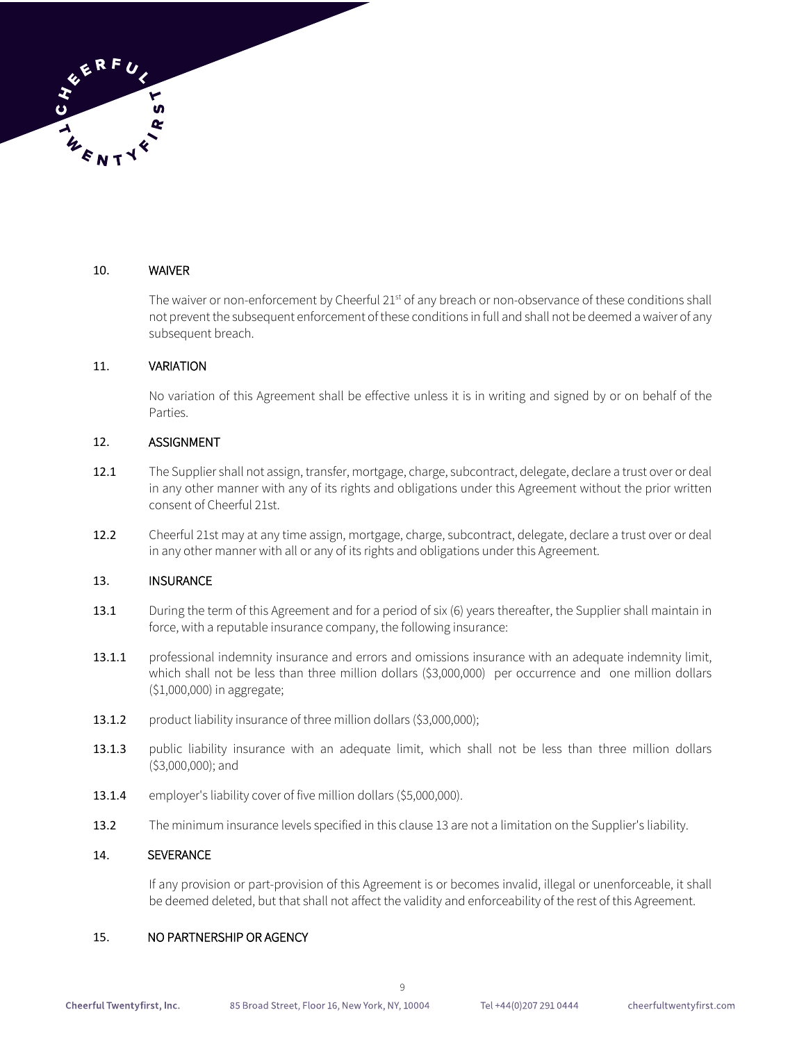

### 10. WAIVER

The waiver or non-enforcement by Cheerful 21<sup>st</sup> of any breach or non-observance of these conditions shall not prevent the subsequent enforcement of these conditions in full and shall not be deemed a waiver of any subsequent breach.

#### 11. VARIATION

No variation of this Agreement shall be effective unless it is in writing and signed by or on behalf of the Parties.

### 12. ASSIGNMENT

- 12.1 The Supplier shall not assign, transfer, mortgage, charge, subcontract, delegate, declare a trust over or deal in any other manner with any of its rights and obligations under this Agreement without the prior written consent of Cheerful 21st.
- 12.2 Cheerful 21st may at any time assign, mortgage, charge, subcontract, delegate, declare a trust over or deal in any other manner with all or any of its rights and obligations under this Agreement.

#### 13. INSURANCE

- 13.1 During the term of this Agreement and for a period of six (6) years thereafter, the Supplier shall maintain in force, with a reputable insurance company, the following insurance:
- 13.1.1 professional indemnity insurance and errors and omissions insurance with an adequate indemnity limit, which shall not be less than three million dollars (\$3,000,000) per occurrence and one million dollars (\$1,000,000) in aggregate;
- 13.1.2 product liability insurance of three million dollars (\$3,000,000);
- 13.1.3 public liability insurance with an adequate limit, which shall not be less than three million dollars (\$3,000,000); and
- 13.1.4 employer's liability cover of five million dollars (\$5,000,000).
- 13.2 The minimum insurance levels specified in this clause 13 are not a limitation on the Supplier's liability.

9

#### 14. SEVERANCE

If any provision or part-provision of this Agreement is or becomes invalid, illegal or unenforceable, it shall be deemed deleted, but that shall not affect the validity and enforceability of the rest of this Agreement.

#### 15. NO PARTNERSHIP OR AGENCY